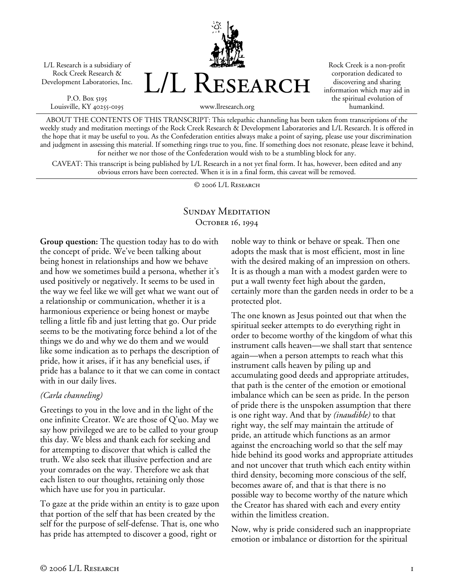L/L Research is a subsidiary of Rock Creek Research & Development Laboratories, Inc.

P.O. Box 5195 Louisville, KY 40255-0195



Rock Creek is a non-profit corporation dedicated to discovering and sharing information which may aid in the spiritual evolution of humankind.

ABOUT THE CONTENTS OF THIS TRANSCRIPT: This telepathic channeling has been taken from transcriptions of the weekly study and meditation meetings of the Rock Creek Research & Development Laboratories and L/L Research. It is offered in the hope that it may be useful to you. As the Confederation entities always make a point of saying, please use your discrimination and judgment in assessing this material. If something rings true to you, fine. If something does not resonate, please leave it behind, for neither we nor those of the Confederation would wish to be a stumbling block for any.

CAVEAT: This transcript is being published by L/L Research in a not yet final form. It has, however, been edited and any obvious errors have been corrected. When it is in a final form, this caveat will be removed.

© 2006 L/L Research

## SUNDAY MEDITATION October 16, 1994

**Group question:** The question today has to do with the concept of pride. We've been talking about being honest in relationships and how we behave and how we sometimes build a persona, whether it's used positively or negatively. It seems to be used in the way we feel like we will get what we want out of a relationship or communication, whether it is a harmonious experience or being honest or maybe telling a little fib and just letting that go. Our pride seems to be the motivating force behind a lot of the things we do and why we do them and we would like some indication as to perhaps the description of pride, how it arises, if it has any beneficial uses, if pride has a balance to it that we can come in contact with in our daily lives.

## *(Carla channeling)*

Greetings to you in the love and in the light of the one infinite Creator. We are those of Q'uo. May we say how privileged we are to be called to your group this day. We bless and thank each for seeking and for attempting to discover that which is called the truth. We also seek that illusive perfection and are your comrades on the way. Therefore we ask that each listen to our thoughts, retaining only those which have use for you in particular.

To gaze at the pride within an entity is to gaze upon that portion of the self that has been created by the self for the purpose of self-defense. That is, one who has pride has attempted to discover a good, right or

noble way to think or behave or speak. Then one adopts the mask that is most efficient, most in line with the desired making of an impression on others. It is as though a man with a modest garden were to put a wall twenty feet high about the garden, certainly more than the garden needs in order to be a protected plot.

The one known as Jesus pointed out that when the spiritual seeker attempts to do everything right in order to become worthy of the kingdom of what this instrument calls heaven—we shall start that sentence again—when a person attempts to reach what this instrument calls heaven by piling up and accumulating good deeds and appropriate attitudes, that path is the center of the emotion or emotional imbalance which can be seen as pride. In the person of pride there is the unspoken assumption that there is one right way. And that by *(inaudible)* to that right way, the self may maintain the attitude of pride, an attitude which functions as an armor against the encroaching world so that the self may hide behind its good works and appropriate attitudes and not uncover that truth which each entity within third density, becoming more conscious of the self, becomes aware of, and that is that there is no possible way to become worthy of the nature which the Creator has shared with each and every entity within the limitless creation.

Now, why is pride considered such an inappropriate emotion or imbalance or distortion for the spiritual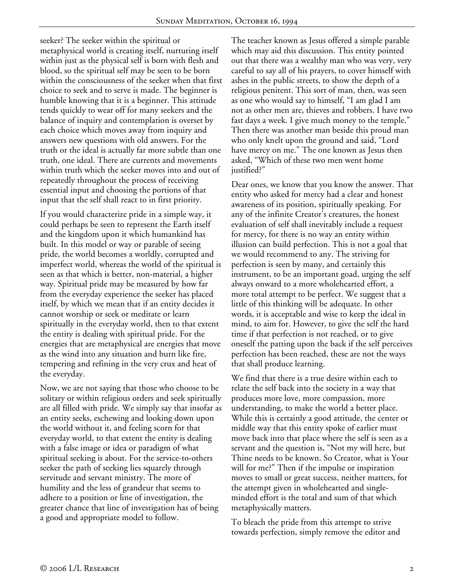seeker? The seeker within the spiritual or metaphysical world is creating itself, nurturing itself within just as the physical self is born with flesh and blood, so the spiritual self may be seen to be born within the consciousness of the seeker when that first choice to seek and to serve is made. The beginner is humble knowing that it is a beginner. This attitude tends quickly to wear off for many seekers and the balance of inquiry and contemplation is overset by each choice which moves away from inquiry and answers new questions with old answers. For the truth or the ideal is actually far more subtle than one truth, one ideal. There are currents and movements within truth which the seeker moves into and out of repeatedly throughout the process of receiving essential input and choosing the portions of that input that the self shall react to in first priority.

If you would characterize pride in a simple way, it could perhaps be seen to represent the Earth itself and the kingdom upon it which humankind has built. In this model or way or parable of seeing pride, the world becomes a worldly, corrupted and imperfect world, whereas the world of the spiritual is seen as that which is better, non-material, a higher way. Spiritual pride may be measured by how far from the everyday experience the seeker has placed itself, by which we mean that if an entity decides it cannot worship or seek or meditate or learn spiritually in the everyday world, then to that extent the entity is dealing with spiritual pride. For the energies that are metaphysical are energies that move as the wind into any situation and burn like fire, tempering and refining in the very crux and heat of the everyday.

Now, we are not saying that those who choose to be solitary or within religious orders and seek spiritually are all filled with pride. We simply say that insofar as an entity seeks, eschewing and looking down upon the world without it, and feeling scorn for that everyday world, to that extent the entity is dealing with a false image or idea or paradigm of what spiritual seeking is about. For the service-to-others seeker the path of seeking lies squarely through servitude and servant ministry. The more of humility and the less of grandeur that seems to adhere to a position or line of investigation, the greater chance that line of investigation has of being a good and appropriate model to follow.

The teacher known as Jesus offered a simple parable which may aid this discussion. This entity pointed out that there was a wealthy man who was very, very careful to say all of his prayers, to cover himself with ashes in the public streets, to show the depth of a religious penitent. This sort of man, then, was seen as one who would say to himself, "I am glad I am not as other men are, thieves and robbers. I have two fast days a week. I give much money to the temple." Then there was another man beside this proud man who only knelt upon the ground and said, "Lord have mercy on me." The one known as Jesus then asked, "Which of these two men went home justified?"

Dear ones, we know that you know the answer. That entity who asked for mercy had a clear and honest awareness of its position, spiritually speaking. For any of the infinite Creator's creatures, the honest evaluation of self shall inevitably include a request for mercy, for there is no way an entity within illusion can build perfection. This is not a goal that we would recommend to any. The striving for perfection is seen by many, and certainly this instrument, to be an important goad, urging the self always onward to a more wholehearted effort, a more total attempt to be perfect. We suggest that a little of this thinking will be adequate. In other words, it is acceptable and wise to keep the ideal in mind, to aim for. However, to give the self the hard time if that perfection is not reached, or to give oneself the patting upon the back if the self perceives perfection has been reached, these are not the ways that shall produce learning.

We find that there is a true desire within each to relate the self back into the society in a way that produces more love, more compassion, more understanding, to make the world a better place. While this is certainly a good attitude, the center or middle way that this entity spoke of earlier must move back into that place where the self is seen as a servant and the question is, "Not my will here, but Thine needs to be known. So Creator, what is Your will for me?" Then if the impulse or inspiration moves to small or great success, neither matters, for the attempt given in wholehearted and singleminded effort is the total and sum of that which metaphysically matters.

To bleach the pride from this attempt to strive towards perfection, simply remove the editor and